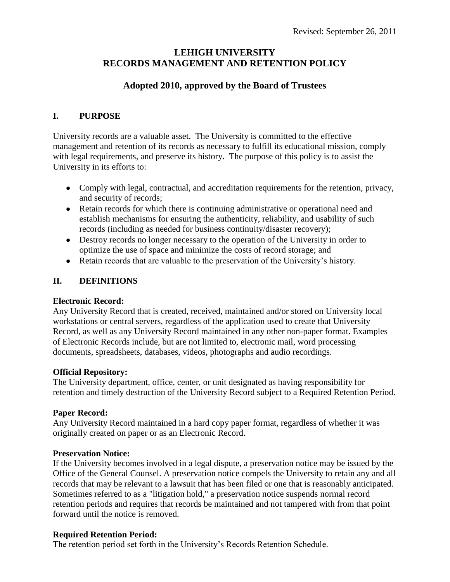# **LEHIGH UNIVERSITY RECORDS MANAGEMENT AND RETENTION POLICY**

## **Adopted 2010, approved by the Board of Trustees**

### **I. PURPOSE**

University records are a valuable asset. The University is committed to the effective management and retention of its records as necessary to fulfill its educational mission, comply with legal requirements, and preserve its history. The purpose of this policy is to assist the University in its efforts to:

- Comply with legal, contractual, and accreditation requirements for the retention, privacy, and security of records;
- Retain records for which there is continuing administrative or operational need and establish mechanisms for ensuring the authenticity, reliability, and usability of such records (including as needed for business continuity/disaster recovery);
- Destroy records no longer necessary to the operation of the University in order to optimize the use of space and minimize the costs of record storage; and
- Retain records that are valuable to the preservation of the University's history.

## **II. DEFINITIONS**

#### **Electronic Record:**

Any University Record that is created, received, maintained and/or stored on University local workstations or central servers, regardless of the application used to create that University Record, as well as any University Record maintained in any other non-paper format. Examples of Electronic Records include, but are not limited to, electronic mail, word processing documents, spreadsheets, databases, videos, photographs and audio recordings.

#### **Official Repository:**

The University department, office, center, or unit designated as having responsibility for retention and timely destruction of the University Record subject to a Required Retention Period.

## **Paper Record:**

Any University Record maintained in a hard copy paper format, regardless of whether it was originally created on paper or as an Electronic Record.

#### **Preservation Notice:**

If the University becomes involved in a legal dispute, a preservation notice may be issued by the Office of the General Counsel. A preservation notice compels the University to retain any and all records that may be relevant to a lawsuit that has been filed or one that is reasonably anticipated. Sometimes referred to as a "litigation hold," a preservation notice suspends normal record retention periods and requires that records be maintained and not tampered with from that point forward until the notice is removed.

## **Required Retention Period:**

The retention period set forth in the University's Records Retention Schedule.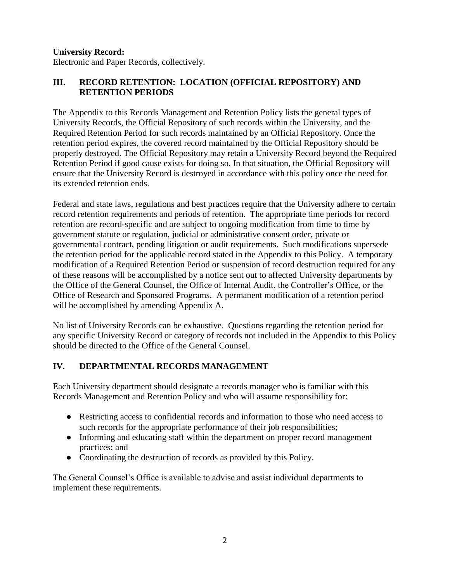#### **University Record:**

Electronic and Paper Records, collectively.

## **III. RECORD RETENTION: LOCATION (OFFICIAL REPOSITORY) AND RETENTION PERIODS**

The Appendix to this Records Management and Retention Policy lists the general types of University Records, the Official Repository of such records within the University, and the Required Retention Period for such records maintained by an Official Repository. Once the retention period expires, the covered record maintained by the Official Repository should be properly destroyed. The Official Repository may retain a University Record beyond the Required Retention Period if good cause exists for doing so. In that situation, the Official Repository will ensure that the University Record is destroyed in accordance with this policy once the need for its extended retention ends.

Federal and state laws, regulations and best practices require that the University adhere to certain record retention requirements and periods of retention. The appropriate time periods for record retention are record-specific and are subject to ongoing modification from time to time by government statute or regulation, judicial or administrative consent order, private or governmental contract, pending litigation or audit requirements. Such modifications supersede the retention period for the applicable record stated in the Appendix to this Policy. A temporary modification of a Required Retention Period or suspension of record destruction required for any of these reasons will be accomplished by a notice sent out to affected University departments by the Office of the General Counsel, the Office of Internal Audit, the Controller's Office, or the Office of Research and Sponsored Programs. A permanent modification of a retention period will be accomplished by amending Appendix A.

No list of University Records can be exhaustive. Questions regarding the retention period for any specific University Record or category of records not included in the Appendix to this Policy should be directed to the Office of the General Counsel.

### **IV. DEPARTMENTAL RECORDS MANAGEMENT**

Each University department should designate a records manager who is familiar with this Records Management and Retention Policy and who will assume responsibility for:

- Restricting access to confidential records and information to those who need access to such records for the appropriate performance of their job responsibilities;
- Informing and educating staff within the department on proper record management practices; and
- Coordinating the destruction of records as provided by this Policy.

The General Counsel's Office is available to advise and assist individual departments to implement these requirements.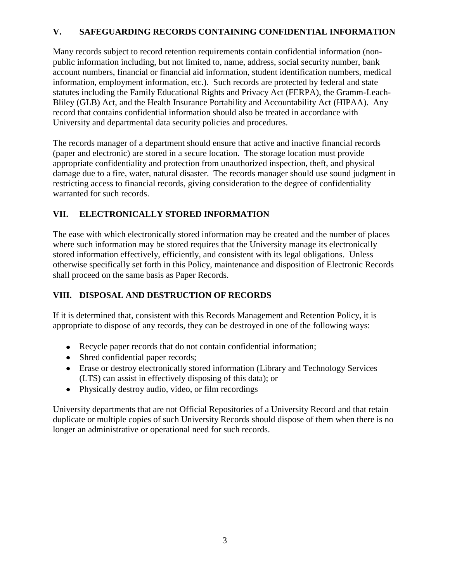## **V. SAFEGUARDING RECORDS CONTAINING CONFIDENTIAL INFORMATION**

Many records subject to record retention requirements contain confidential information (nonpublic information including, but not limited to, name, address, social security number, bank account numbers, financial or financial aid information, student identification numbers, medical information, employment information, etc.). Such records are protected by federal and state statutes including the Family Educational Rights and Privacy Act (FERPA), the Gramm-Leach-Bliley (GLB) Act, and the Health Insurance Portability and Accountability Act (HIPAA). Any record that contains confidential information should also be treated in accordance with University and departmental data security policies and procedures.

The records manager of a department should ensure that active and inactive financial records (paper and electronic) are stored in a secure location. The storage location must provide appropriate confidentiality and protection from unauthorized inspection, theft, and physical damage due to a fire, water, natural disaster. The records manager should use sound judgment in restricting access to financial records, giving consideration to the degree of confidentiality warranted for such records.

### **VII. ELECTRONICALLY STORED INFORMATION**

The ease with which electronically stored information may be created and the number of places where such information may be stored requires that the University manage its electronically stored information effectively, efficiently, and consistent with its legal obligations. Unless otherwise specifically set forth in this Policy, maintenance and disposition of Electronic Records shall proceed on the same basis as Paper Records.

## **VIII. DISPOSAL AND DESTRUCTION OF RECORDS**

If it is determined that, consistent with this Records Management and Retention Policy, it is appropriate to dispose of any records, they can be destroyed in one of the following ways:

- Recycle paper records that do not contain confidential information;
- Shred confidential paper records;
- Erase or destroy electronically stored information (Library and Technology Services (LTS) can assist in effectively disposing of this data); or
- Physically destroy audio, video, or film recordings

University departments that are not Official Repositories of a University Record and that retain duplicate or multiple copies of such University Records should dispose of them when there is no longer an administrative or operational need for such records.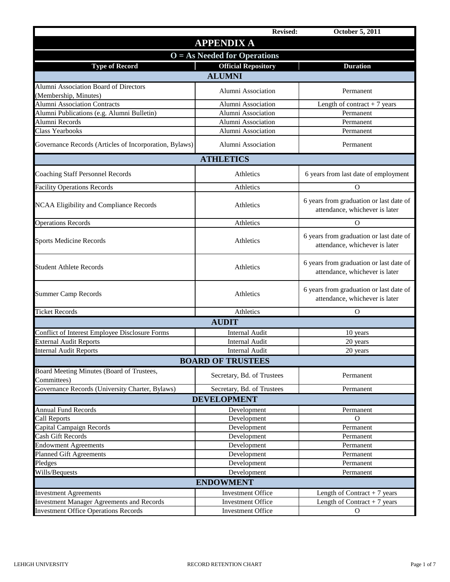|                                                        | <b>Revised:</b>                | October 5, 2011                                                           |
|--------------------------------------------------------|--------------------------------|---------------------------------------------------------------------------|
|                                                        | <b>APPENDIX A</b>              |                                                                           |
|                                                        | $O = As$ Needed for Operations |                                                                           |
| <b>Type of Record</b>                                  | <b>Official Repository</b>     | <b>Duration</b>                                                           |
|                                                        | <b>ALUMNI</b>                  |                                                                           |
| Alumni Association Board of Directors                  |                                |                                                                           |
| (Membership, Minutes)                                  | Alumni Association             | Permanent                                                                 |
| <b>Alumni Association Contracts</b>                    | Alumni Association             | Length of contract $+7$ years                                             |
| Alumni Publications (e.g. Alumni Bulletin)             | Alumni Association             | Permanent                                                                 |
| Alumni Records                                         | Alumni Association             | Permanent                                                                 |
| <b>Class Yearbooks</b>                                 | Alumni Association             | Permanent                                                                 |
| Governance Records (Articles of Incorporation, Bylaws) | Alumni Association             | Permanent                                                                 |
|                                                        | <b>ATHLETICS</b>               |                                                                           |
| <b>Coaching Staff Personnel Records</b>                | Athletics                      | 6 years from last date of employment                                      |
| <b>Facility Operations Records</b>                     | Athletics                      | O                                                                         |
| NCAA Eligibility and Compliance Records                | Athletics                      | 6 years from graduation or last date of<br>attendance, whichever is later |
| <b>Operations Records</b>                              | Athletics                      | O                                                                         |
| <b>Sports Medicine Records</b>                         | Athletics                      | 6 years from graduation or last date of<br>attendance, whichever is later |
| <b>Student Athlete Records</b>                         | Athletics                      | 6 years from graduation or last date of<br>attendance, whichever is later |
| <b>Summer Camp Records</b>                             | Athletics                      | 6 years from graduation or last date of<br>attendance, whichever is later |
| <b>Ticket Records</b>                                  | Athletics                      | O                                                                         |
|                                                        | <b>AUDIT</b>                   |                                                                           |
| Conflict of Interest Employee Disclosure Forms         | <b>Internal Audit</b>          | 10 years                                                                  |
| <b>External Audit Reports</b>                          | <b>Internal Audit</b>          | 20 years                                                                  |
| <b>Internal Audit Reports</b>                          | <b>Internal Audit</b>          | 20 years                                                                  |
|                                                        | <b>BOARD OF TRUSTEES</b>       |                                                                           |
| Board Meeting Minutes (Board of Trustees,              | Secretary, Bd. of Trustees     | Permanent                                                                 |
| Committees)                                            |                                |                                                                           |
| Governance Records (University Charter, Bylaws)        | Secretary, Bd. of Trustees     | Permanent                                                                 |
|                                                        | <b>DEVELOPMENT</b>             |                                                                           |
| <b>Annual Fund Records</b>                             | Development                    | Permanent                                                                 |
| Call Reports                                           | Development                    | 0                                                                         |
| Capital Campaign Records                               | Development                    | Permanent                                                                 |
| Cash Gift Records                                      | Development                    | Permanent                                                                 |
| <b>Endowment Agreements</b>                            | Development                    | Permanent                                                                 |
| Planned Gift Agreements                                | Development                    | Permanent                                                                 |
| Pledges                                                | Development                    | Permanent                                                                 |
| Wills/Bequests                                         | Development                    | Permanent                                                                 |
| <b>ENDOWMENT</b>                                       |                                |                                                                           |
| <b>Investment Agreements</b>                           | Investment Office              | Length of Contract $+7$ years                                             |
| <b>Investment Manager Agreements and Records</b>       | <b>Investment Office</b>       | Length of Contract + $7$ years                                            |
| <b>Investment Office Operations Records</b>            | <b>Investment Office</b>       | $\Omega$                                                                  |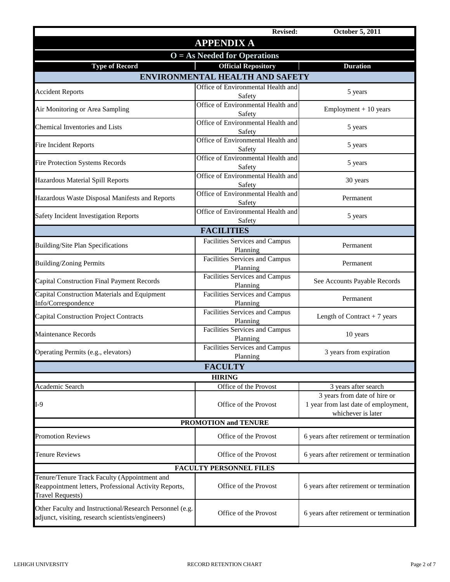|                                                                                                                                  | <b>Revised:</b>                                | <b>October 5, 2011</b>                                                                                             |  |  |
|----------------------------------------------------------------------------------------------------------------------------------|------------------------------------------------|--------------------------------------------------------------------------------------------------------------------|--|--|
|                                                                                                                                  | <b>APPENDIX A</b>                              |                                                                                                                    |  |  |
| $O = As$ Needed for Operations                                                                                                   |                                                |                                                                                                                    |  |  |
| <b>Type of Record</b>                                                                                                            | <b>Official Repository</b>                     | <b>Duration</b>                                                                                                    |  |  |
|                                                                                                                                  | <b>ENVIRONMENTAL HEALTH AND SAFETY</b>         |                                                                                                                    |  |  |
| <b>Accident Reports</b>                                                                                                          | Office of Environmental Health and<br>Safety   | 5 years                                                                                                            |  |  |
| Air Monitoring or Area Sampling                                                                                                  | Office of Environmental Health and<br>Safety   | $Employment + 10 years$                                                                                            |  |  |
| Chemical Inventories and Lists                                                                                                   | Office of Environmental Health and<br>Safety   | 5 years                                                                                                            |  |  |
| <b>Fire Incident Reports</b>                                                                                                     | Office of Environmental Health and<br>Safety   | 5 years                                                                                                            |  |  |
| Fire Protection Systems Records                                                                                                  | Office of Environmental Health and<br>Safety   | 5 years                                                                                                            |  |  |
| Hazardous Material Spill Reports                                                                                                 | Office of Environmental Health and<br>Safety   | 30 years                                                                                                           |  |  |
| Hazardous Waste Disposal Manifests and Reports                                                                                   | Office of Environmental Health and<br>Safety   | Permanent                                                                                                          |  |  |
| <b>Safety Incident Investigation Reports</b>                                                                                     | Office of Environmental Health and<br>Safety   | 5 years                                                                                                            |  |  |
|                                                                                                                                  | <b>FACILITIES</b>                              |                                                                                                                    |  |  |
| <b>Building/Site Plan Specifications</b>                                                                                         | Facilities Services and Campus<br>Planning     | Permanent                                                                                                          |  |  |
| <b>Building/Zoning Permits</b>                                                                                                   | Facilities Services and Campus<br>Planning     | Permanent                                                                                                          |  |  |
| <b>Capital Construction Final Payment Records</b>                                                                                | Facilities Services and Campus<br>Planning     | See Accounts Payable Records                                                                                       |  |  |
| Capital Construction Materials and Equipment<br>Info/Correspondence                                                              | Facilities Services and Campus<br>Planning     | Permanent                                                                                                          |  |  |
| <b>Capital Construction Project Contracts</b>                                                                                    | Facilities Services and Campus<br>Planning     | Length of Contract $+7$ years                                                                                      |  |  |
| <b>Maintenance Records</b>                                                                                                       | Facilities Services and Campus<br>Planning     | 10 years                                                                                                           |  |  |
| Operating Permits (e.g., elevators)                                                                                              | Facilities Services and Campus<br>Planning     | 3 years from expiration                                                                                            |  |  |
|                                                                                                                                  | <b>FACULTY</b>                                 |                                                                                                                    |  |  |
|                                                                                                                                  | <b>HIRING</b>                                  |                                                                                                                    |  |  |
| Academic Search<br>$I-9$                                                                                                         | Office of the Provost<br>Office of the Provost | 3 years after search<br>3 years from date of hire or<br>1 year from last date of employment,<br>whichever is later |  |  |
|                                                                                                                                  | <b>PROMOTION and TENURE</b>                    |                                                                                                                    |  |  |
| <b>Promotion Reviews</b>                                                                                                         | Office of the Provost                          | 6 years after retirement or termination                                                                            |  |  |
| <b>Tenure Reviews</b>                                                                                                            | Office of the Provost                          | 6 years after retirement or termination                                                                            |  |  |
|                                                                                                                                  | <b>FACULTY PERSONNEL FILES</b>                 |                                                                                                                    |  |  |
| Tenure/Tenure Track Faculty (Appointment and<br>Reappointment letters, Professional Activity Reports,<br><b>Travel Requests)</b> | Office of the Provost                          | 6 years after retirement or termination                                                                            |  |  |
| Other Faculty and Instructional/Research Personnel (e.g.<br>adjunct, visiting, research scientists/engineers)                    | Office of the Provost                          | 6 years after retirement or termination                                                                            |  |  |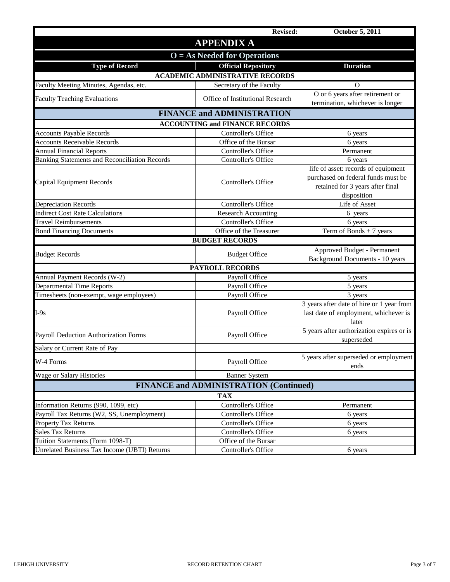|                                                      | Revised:                                      | October 5, 2011                                                                                                              |  |
|------------------------------------------------------|-----------------------------------------------|------------------------------------------------------------------------------------------------------------------------------|--|
|                                                      | <b>APPENDIX A</b>                             |                                                                                                                              |  |
| $O = As$ Needed for Operations                       |                                               |                                                                                                                              |  |
| <b>Type of Record</b>                                | <b>Official Repository</b>                    | <b>Duration</b>                                                                                                              |  |
|                                                      | <b>ACADEMIC ADMINISTRATIVE RECORDS</b>        |                                                                                                                              |  |
| Faculty Meeting Minutes, Agendas, etc.               | Secretary of the Faculty                      | O                                                                                                                            |  |
| <b>Faculty Teaching Evaluations</b>                  | Office of Institutional Research              | O or 6 years after retirement or<br>termination, whichever is longer                                                         |  |
|                                                      | <b>FINANCE and ADMINISTRATION</b>             |                                                                                                                              |  |
|                                                      | <b>ACCOUNTING and FINANCE RECORDS</b>         |                                                                                                                              |  |
| <b>Accounts Payable Records</b>                      | Controller's Office                           | 6 years                                                                                                                      |  |
| <b>Accounts Receivable Records</b>                   | Office of the Bursar                          | 6 years                                                                                                                      |  |
| <b>Annual Financial Reports</b>                      | Controller's Office                           | Permanent                                                                                                                    |  |
| <b>Banking Statements and Reconciliation Records</b> | Controller's Office                           | 6 years                                                                                                                      |  |
| <b>Capital Equipment Records</b>                     | Controller's Office                           | life of asset: records of equipment<br>purchased on federal funds must be<br>retained for 3 years after final<br>disposition |  |
| Depreciation Records                                 | Controller's Office                           | Life of Asset                                                                                                                |  |
| <b>Indirect Cost Rate Calculations</b>               | Research Accounting                           | 6 years                                                                                                                      |  |
| <b>Travel Reimbursements</b>                         | Controller's Office                           | 6 years                                                                                                                      |  |
| <b>Bond Financing Documents</b>                      | Office of the Treasurer                       | Term of Bonds $+7$ years                                                                                                     |  |
|                                                      | <b>BUDGET RECORDS</b>                         |                                                                                                                              |  |
| <b>Budget Records</b>                                | <b>Budget Office</b>                          | Approved Budget - Permanent<br>Background Documents - 10 years                                                               |  |
|                                                      | <b>PAYROLL RECORDS</b>                        |                                                                                                                              |  |
| Annual Payment Records (W-2)                         | Payroll Office                                | 5 years                                                                                                                      |  |
| <b>Departmental Time Reports</b>                     | Payroll Office                                | 5 years                                                                                                                      |  |
| Timesheets (non-exempt, wage employees)              | Payroll Office                                | 3 years                                                                                                                      |  |
| $I-9s$                                               | Payroll Office                                | 3 years after date of hire or 1 year from<br>last date of employment, whichever is<br>later                                  |  |
| Payroll Deduction Authorization Forms                | Payroll Office                                | 5 years after authorization expires or is<br>superseded                                                                      |  |
| Salary or Current Rate of Pay                        |                                               |                                                                                                                              |  |
| W-4 Forms                                            | Payroll Office                                | 5 years after superseded or employment<br>ends                                                                               |  |
| Wage or Salary Histories                             | <b>Banner System</b>                          |                                                                                                                              |  |
|                                                      | <b>FINANCE and ADMINISTRATION (Continued)</b> |                                                                                                                              |  |
|                                                      | <b>TAX</b>                                    |                                                                                                                              |  |
| Information Returns (990, 1099, etc)                 | <b>Controller's Office</b>                    | Permanent                                                                                                                    |  |
| Payroll Tax Returns (W2, SS, Unemployment)           | Controller's Office                           | 6 years                                                                                                                      |  |
| <b>Property Tax Returns</b>                          | Controller's Office                           | 6 years                                                                                                                      |  |
| <b>Sales Tax Returns</b>                             | Controller's Office                           | 6 years                                                                                                                      |  |
| Tuition Statements (Form 1098-T)                     | Office of the Bursar                          |                                                                                                                              |  |
| <b>Unrelated Business Tax Income (UBTI) Returns</b>  | Controller's Office                           | 6 years                                                                                                                      |  |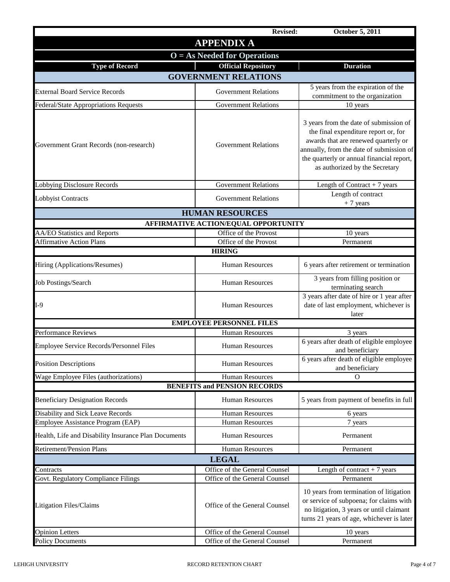|                                                      | <b>Revised:</b>                      | <b>October 5, 2011</b>                                                                                                                                                                                                                            |  |
|------------------------------------------------------|--------------------------------------|---------------------------------------------------------------------------------------------------------------------------------------------------------------------------------------------------------------------------------------------------|--|
|                                                      | <b>APPENDIX A</b>                    |                                                                                                                                                                                                                                                   |  |
| $O = As$ Needed for Operations                       |                                      |                                                                                                                                                                                                                                                   |  |
| <b>Type of Record</b>                                | <b>Official Repository</b>           | <b>Duration</b>                                                                                                                                                                                                                                   |  |
|                                                      | <b>GOVERNMENT RELATIONS</b>          |                                                                                                                                                                                                                                                   |  |
| <b>External Board Service Records</b>                | <b>Government Relations</b>          | 5 years from the expiration of the<br>commitment to the organization                                                                                                                                                                              |  |
| Federal/State Appropriations Requests                | <b>Government Relations</b>          | 10 years                                                                                                                                                                                                                                          |  |
| Government Grant Records (non-research)              | <b>Government Relations</b>          | 3 years from the date of submission of<br>the final expenditure report or, for<br>awards that are renewed quarterly or<br>annually, from the date of submission of<br>the quarterly or annual financial report,<br>as authorized by the Secretary |  |
| <b>Lobbying Disclosure Records</b>                   | <b>Government Relations</b>          | Length of Contract $+7$ years                                                                                                                                                                                                                     |  |
| Lobbyist Contracts                                   | <b>Government Relations</b>          | Length of contract<br>$+7$ years                                                                                                                                                                                                                  |  |
|                                                      | <b>HUMAN RESOURCES</b>               |                                                                                                                                                                                                                                                   |  |
|                                                      | AFFIRMATIVE ACTION/EQUAL OPPORTUNITY |                                                                                                                                                                                                                                                   |  |
| AA/EO Statistics and Reports                         | Office of the Provost                | 10 years                                                                                                                                                                                                                                          |  |
| <b>Affirmative Action Plans</b>                      | Office of the Provost                | Permanent                                                                                                                                                                                                                                         |  |
|                                                      | <b>HIRING</b>                        |                                                                                                                                                                                                                                                   |  |
| Hiring (Applications/Resumes)                        | <b>Human Resources</b>               | 6 years after retirement or termination                                                                                                                                                                                                           |  |
| <b>Job Postings/Search</b>                           | <b>Human Resources</b>               | 3 years from filling position or<br>terminating search                                                                                                                                                                                            |  |
| $I-9$                                                | <b>Human Resources</b>               | 3 years after date of hire or 1 year after<br>date of last employment, whichever is<br>later                                                                                                                                                      |  |
|                                                      | <b>EMPLOYEE PERSONNEL FILES</b>      |                                                                                                                                                                                                                                                   |  |
| <b>Performance Reviews</b>                           | <b>Human Resources</b>               | 3 years                                                                                                                                                                                                                                           |  |
| Employee Service Records/Personnel Files             | <b>Human Resources</b>               | 6 years after death of eligible employee<br>and beneficiary                                                                                                                                                                                       |  |
| <b>Position Descriptions</b>                         | Human Resources                      | 6 years after death of eligible employee<br>and beneficiary                                                                                                                                                                                       |  |
| Wage Employee Files (authorizations)                 | <b>Human Resources</b>               | O                                                                                                                                                                                                                                                 |  |
|                                                      | <b>BENEFITS and PENSION RECORDS</b>  |                                                                                                                                                                                                                                                   |  |
| <b>Beneficiary Designation Records</b>               | Human Resources                      | 5 years from payment of benefits in full                                                                                                                                                                                                          |  |
| Disability and Sick Leave Records                    | Human Resources                      | 6 years                                                                                                                                                                                                                                           |  |
| Employee Assistance Program (EAP)                    | <b>Human Resources</b>               | 7 years                                                                                                                                                                                                                                           |  |
| Health, Life and Disability Insurance Plan Documents | Human Resources                      | Permanent                                                                                                                                                                                                                                         |  |
| <b>Retirement/Pension Plans</b>                      | <b>Human Resources</b>               | Permanent                                                                                                                                                                                                                                         |  |
|                                                      | <b>LEGAL</b>                         |                                                                                                                                                                                                                                                   |  |
| Contracts                                            | Office of the General Counsel        | Length of contract $+7$ years                                                                                                                                                                                                                     |  |
| Govt. Regulatory Compliance Filings                  | Office of the General Counsel        | Permanent                                                                                                                                                                                                                                         |  |
| <b>Litigation Files/Claims</b>                       | Office of the General Counsel        | 10 years from termination of litigation<br>or service of subpoena; for claims with<br>no litigation, 3 years or until claimant<br>turns 21 years of age, whichever is later                                                                       |  |
| <b>Opinion Letters</b>                               | Office of the General Counsel        | 10 years                                                                                                                                                                                                                                          |  |
| <b>Policy Documents</b>                              | Office of the General Counsel        | Permanent                                                                                                                                                                                                                                         |  |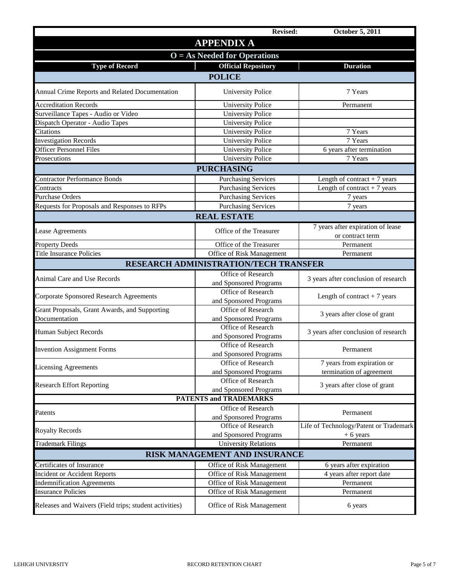|                                                        | <b>Revised:</b>                       | <b>October 5, 2011</b>                 |  |
|--------------------------------------------------------|---------------------------------------|----------------------------------------|--|
|                                                        | <b>APPENDIX A</b>                     |                                        |  |
| $O = As$ Needed for Operations                         |                                       |                                        |  |
| <b>Type of Record</b>                                  | <b>Official Repository</b>            | <b>Duration</b>                        |  |
|                                                        | <b>POLICE</b>                         |                                        |  |
|                                                        |                                       |                                        |  |
| Annual Crime Reports and Related Documentation         | <b>University Police</b>              | 7 Years                                |  |
| <b>Accreditation Records</b>                           | <b>University Police</b>              | Permanent                              |  |
| Surveillance Tapes - Audio or Video                    | <b>University Police</b>              |                                        |  |
| Dispatch Operator - Audio Tapes                        | <b>University Police</b>              |                                        |  |
| Citations                                              | <b>University Police</b>              | 7 Years                                |  |
| <b>Investigation Records</b>                           | <b>University Police</b>              | 7 Years                                |  |
| <b>Officer Personnel Files</b>                         | <b>University Police</b>              | 6 years after termination              |  |
| Prosecutions                                           | <b>University Police</b>              | 7 Years                                |  |
|                                                        | <b>PURCHASING</b>                     |                                        |  |
| <b>Contractor Performance Bonds</b>                    | <b>Purchasing Services</b>            | Length of contract $+7$ years          |  |
| Contracts                                              | <b>Purchasing Services</b>            | Length of contract $+7$ years          |  |
| <b>Purchase Orders</b>                                 | <b>Purchasing Services</b>            | 7 years                                |  |
| Requests for Proposals and Responses to RFPs           | <b>Purchasing Services</b>            | 7 years                                |  |
|                                                        | <b>REAL ESTATE</b>                    |                                        |  |
|                                                        |                                       | 7 years after expiration of lease      |  |
| <b>Lease Agreements</b>                                | Office of the Treasurer               | or contract term                       |  |
| <b>Property Deeds</b>                                  | Office of the Treasurer               | Permanent                              |  |
| <b>Title Insurance Policies</b>                        | Office of Risk Management             | Permanent                              |  |
|                                                        | RESEARCH ADMINISTRATION/TECH TRANSFER |                                        |  |
|                                                        | Office of Research                    |                                        |  |
| Animal Care and Use Records                            | and Sponsored Programs                | 3 years after conclusion of research   |  |
|                                                        | Office of Research                    |                                        |  |
| <b>Corporate Sponsored Research Agreements</b>         | and Sponsored Programs                | Length of contract $+7$ years          |  |
| Grant Proposals, Grant Awards, and Supporting          | Office of Research                    |                                        |  |
| Documentation                                          | and Sponsored Programs                | 3 years after close of grant           |  |
|                                                        | Office of Research                    |                                        |  |
| Human Subject Records                                  | and Sponsored Programs                | 3 years after conclusion of research   |  |
|                                                        | Office of Research                    |                                        |  |
| <b>Invention Assignment Forms</b>                      | and Sponsored Programs                | Permanent                              |  |
|                                                        | Office of Research                    | 7 years from expiration or             |  |
| <b>Licensing Agreements</b>                            | and Sponsored Programs                | termination of agreement               |  |
|                                                        | Office of Research                    |                                        |  |
| <b>Research Effort Reporting</b>                       | and Sponsored Programs                | 3 years after close of grant           |  |
|                                                        | <b>PATENTS and TRADEMARKS</b>         |                                        |  |
|                                                        | Office of Research                    |                                        |  |
| Patents                                                | and Sponsored Programs                | Permanent                              |  |
|                                                        | Office of Research                    | Life of Technology/Patent or Trademark |  |
| <b>Royalty Records</b>                                 | and Sponsored Programs                | $+6$ years                             |  |
| <b>Trademark Filings</b>                               | <b>University Relations</b>           | Permanent                              |  |
|                                                        | RISK MANAGEMENT AND INSURANCE         |                                        |  |
| Certificates of Insurance                              | Office of Risk Management             | 6 years after expiration               |  |
| <b>Incident or Accident Reports</b>                    | Office of Risk Management             | 4 years after report date              |  |
| <b>Indemnification Agreements</b>                      | Office of Risk Management             | Permanent                              |  |
| <b>Insurance Policies</b>                              | Office of Risk Management             | Permanent                              |  |
|                                                        |                                       |                                        |  |
| Releases and Waivers (Field trips; student activities) | Office of Risk Management             | 6 years                                |  |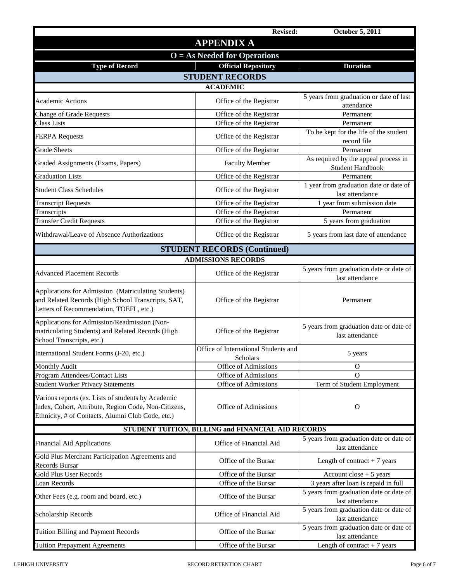|                                                                                                                                                                 | <b>Revised:</b>                                    | <b>October 5, 2011</b>                                          |
|-----------------------------------------------------------------------------------------------------------------------------------------------------------------|----------------------------------------------------|-----------------------------------------------------------------|
|                                                                                                                                                                 | <b>APPENDIX A</b>                                  |                                                                 |
|                                                                                                                                                                 | $O = As$ Needed for Operations                     |                                                                 |
| <b>Type of Record</b>                                                                                                                                           | <b>Official Repository</b>                         | <b>Duration</b>                                                 |
|                                                                                                                                                                 | <b>STUDENT RECORDS</b>                             |                                                                 |
|                                                                                                                                                                 | <b>ACADEMIC</b>                                    |                                                                 |
| <b>Academic Actions</b>                                                                                                                                         | Office of the Registrar                            | 5 years from graduation or date of last<br>attendance           |
| <b>Change of Grade Requests</b>                                                                                                                                 | Office of the Registrar                            | Permanent                                                       |
| Class Lists                                                                                                                                                     | Office of the Registrar                            | Permanent                                                       |
| <b>FERPA Requests</b>                                                                                                                                           | Office of the Registrar                            | To be kept for the life of the student<br>record file           |
| <b>Grade Sheets</b>                                                                                                                                             | Office of the Registrar                            | Permanent                                                       |
| Graded Assignments (Exams, Papers)                                                                                                                              | <b>Faculty Member</b>                              | As required by the appeal process in<br><b>Student Handbook</b> |
| <b>Graduation Lists</b>                                                                                                                                         | Office of the Registrar                            | Permanent                                                       |
| <b>Student Class Schedules</b>                                                                                                                                  | Office of the Registrar                            | 1 year from graduation date or date of<br>last attendance       |
| <b>Transcript Requests</b>                                                                                                                                      | Office of the Registrar                            | 1 year from submission date                                     |
| Transcripts                                                                                                                                                     | Office of the Registrar                            | Permanent                                                       |
| <b>Transfer Credit Requests</b>                                                                                                                                 | Office of the Registrar                            | 5 years from graduation                                         |
| Withdrawal/Leave of Absence Authorizations                                                                                                                      | Office of the Registrar                            | 5 years from last date of attendance                            |
|                                                                                                                                                                 | <b>STUDENT RECORDS (Continued)</b>                 |                                                                 |
|                                                                                                                                                                 | <b>ADMISSIONS RECORDS</b>                          |                                                                 |
| <b>Advanced Placement Records</b>                                                                                                                               | Office of the Registrar                            | 5 years from graduation date or date of<br>last attendance      |
| Applications for Admission (Matriculating Students)<br>and Related Records (High School Transcripts, SAT,<br>Letters of Recommendation, TOEFL, etc.)            | Office of the Registrar                            | Permanent                                                       |
| Applications for Admission/Readmission (Non-<br>matriculating Students) and Related Records (High<br>School Transcripts, etc.)                                  | Office of the Registrar                            | 5 years from graduation date or date of<br>last attendance      |
| International Student Forms (I-20, etc.)                                                                                                                        | Office of International Students and<br>Scholars   | 5 years                                                         |
| <b>Monthly Audit</b>                                                                                                                                            | Office of Admissions                               | O                                                               |
| Program Attendees/Contact Lists                                                                                                                                 | Office of Admissions                               | $\Omega$                                                        |
| <b>Student Worker Privacy Statements</b>                                                                                                                        | Office of Admissions                               | Term of Student Employment                                      |
| Various reports (ex. Lists of students by Academic<br>Index, Cohort, Attribute, Region Code, Non-Citizens,<br>Ethnicity, # of Contacts, Alumni Club Code, etc.) | Office of Admissions                               | $\mathbf{O}$                                                    |
|                                                                                                                                                                 | STUDENT TUITION, BILLING and FINANCIAL AID RECORDS |                                                                 |
| <b>Financial Aid Applications</b>                                                                                                                               | Office of Financial Aid                            | 5 years from graduation date or date of<br>last attendance      |
| Gold Plus Merchant Participation Agreements and<br><b>Records Bursar</b>                                                                                        | Office of the Bursar                               | Length of contract $+7$ years                                   |
| Gold Plus User Records                                                                                                                                          | Office of the Bursar                               | Account close $+5$ years                                        |
| Loan Records                                                                                                                                                    | Office of the Bursar                               | 3 years after loan is repaid in full                            |
| Other Fees (e.g. room and board, etc.)                                                                                                                          | Office of the Bursar                               | 5 years from graduation date or date of<br>last attendance      |
| Scholarship Records                                                                                                                                             | Office of Financial Aid                            | 5 years from graduation date or date of<br>last attendance      |
| Tuition Billing and Payment Records                                                                                                                             | Office of the Bursar                               | 5 years from graduation date or date of<br>last attendance      |
| <b>Tuition Prepayment Agreements</b>                                                                                                                            | Office of the Bursar                               | Length of contract $+7$ years                                   |